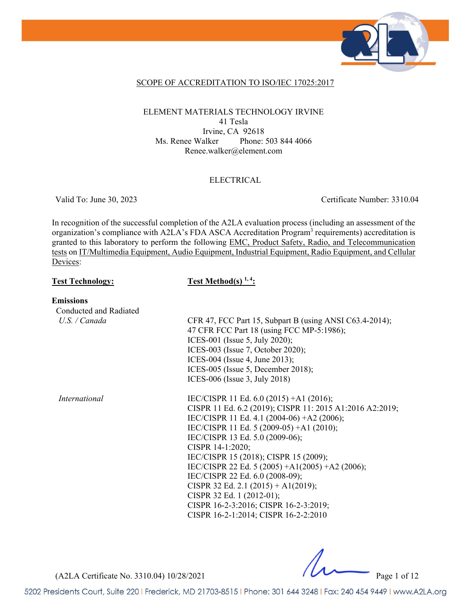

### SCOPE OF ACCREDITATION TO ISO/IEC 17025:2017

### ELEMENT MATERIALS TECHNOLOGY IRVINE 41 Tesla Irvine, CA 92618 Ms. Renee Walker Phone: 503 844 4066 Renee.walker@element.com

#### ELECTRICAL

Valid To: June 30, 2023 Certificate Number: 3310.04

In recognition of the successful completion of the A2LA evaluation process (including an assessment of the organization's compliance with A2LA's FDA ASCA Accreditation Program<sup>3</sup> requirements) accreditation is granted to this laboratory to perform the following EMC, Product Safety, Radio, and Telecommunication tests on IT/Multimedia Equipment, Audio Equipment, Industrial Equipment, Radio Equipment, and Cellular Devices:

#### Test Technology: Test Method(s)<sup>1,4</sup>:

#### **Emissions**

| Conducted and Radiated |                                                                                                                                                                                                                                                                                                                                                                                                                                                                                                                                            |
|------------------------|--------------------------------------------------------------------------------------------------------------------------------------------------------------------------------------------------------------------------------------------------------------------------------------------------------------------------------------------------------------------------------------------------------------------------------------------------------------------------------------------------------------------------------------------|
| U.S. / Canada          | CFR 47, FCC Part 15, Subpart B (using ANSI C63.4-2014);<br>47 CFR FCC Part 18 (using FCC MP-5:1986);<br>ICES-001 (Issue 5, July 2020);<br>ICES-003 (Issue 7, October 2020);<br>ICES-004 (Issue 4, June 2013);<br>ICES-005 (Issue 5, December 2018);<br>ICES-006 (Issue 3, July 2018)                                                                                                                                                                                                                                                       |
| <i>International</i>   | IEC/CISPR 11 Ed. 6.0 (2015) +A1 (2016);<br>CISPR 11 Ed. 6.2 (2019); CISPR 11: 2015 A1:2016 A2:2019;<br>IEC/CISPR 11 Ed. 4.1 (2004-06) +A2 (2006);<br>IEC/CISPR 11 Ed. 5 (2009-05) +A1 (2010);<br>IEC/CISPR 13 Ed. 5.0 (2009-06);<br>CISPR 14-1:2020;<br>IEC/CISPR 15 (2018); CISPR 15 (2009);<br>IEC/CISPR 22 Ed. 5 (2005) + A1(2005) + A2 (2006);<br>IEC/CISPR 22 Ed. 6.0 (2008-09);<br>CISPR 32 Ed. 2.1 (2015) + A1(2019);<br>CISPR 32 Ed. 1 (2012-01);<br>CISPR 16-2-3:2016; CISPR 16-2-3:2019;<br>CISPR 16-2-1:2014; CISPR 16-2-2:2010 |

(A2LA Certificate No. 3310.04) 10/28/2021 Page 1 of 12

5202 Presidents Court, Suite 220 | Frederick, MD 21703-8515 | Phone: 301 644 3248 | Fax: 240 454 9449 | www.A2LA.org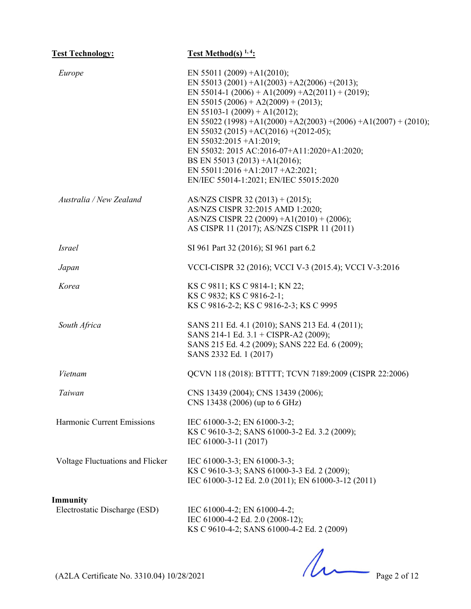| <b>Test Technology:</b>          | <b>Test Method(s)</b> $1, 4$ :                                                                                                                                                                                                                                                                                                                                                                                                                                                                                          |
|----------------------------------|-------------------------------------------------------------------------------------------------------------------------------------------------------------------------------------------------------------------------------------------------------------------------------------------------------------------------------------------------------------------------------------------------------------------------------------------------------------------------------------------------------------------------|
| Europe                           | EN 55011 (2009) + A1(2010);<br>EN 55013 (2001) + A1(2003) + A2(2006) + (2013);<br>EN 55014-1 (2006) + A1(2009) + A2(2011) + (2019);<br>EN 55015 (2006) + A2(2009) + (2013);<br>EN 55103-1 (2009) + A1(2012);<br>EN 55022 (1998) + A1(2000) + A2(2003) + (2006) + A1(2007) + (2010);<br>EN 55032 (2015) + AC(2016) + (2012-05);<br>EN 55032:2015 +A1:2019;<br>EN 55032: 2015 AC:2016-07+A11:2020+A1:2020;<br>BS EN 55013 (2013) +A1(2016);<br>EN 55011:2016 +A1:2017 +A2:2021;<br>EN/IEC 55014-1:2021; EN/IEC 55015:2020 |
| Australia / New Zealand          | AS/NZS CISPR 32 $(2013) + (2015)$ ;<br>AS/NZS CISPR 32:2015 AMD 1:2020;<br>AS/NZS CISPR 22 (2009) +A1(2010) + (2006);<br>AS CISPR 11 (2017); AS/NZS CISPR 11 (2011)                                                                                                                                                                                                                                                                                                                                                     |
| <i>Israel</i>                    | SI 961 Part 32 (2016); SI 961 part 6.2                                                                                                                                                                                                                                                                                                                                                                                                                                                                                  |
| Japan                            | VCCI-CISPR 32 (2016); VCCI V-3 (2015.4); VCCI V-3:2016                                                                                                                                                                                                                                                                                                                                                                                                                                                                  |
| Korea                            | KS C 9811; KS C 9814-1; KN 22;<br>KS C 9832; KS C 9816-2-1;<br>KS C 9816-2-2; KS C 9816-2-3; KS C 9995                                                                                                                                                                                                                                                                                                                                                                                                                  |
| South Africa                     | SANS 211 Ed. 4.1 (2010); SANS 213 Ed. 4 (2011);<br>SANS 214-1 Ed. 3.1 + CISPR-A2 (2009);<br>SANS 215 Ed. 4.2 (2009); SANS 222 Ed. 6 (2009);<br>SANS 2332 Ed. 1 (2017)                                                                                                                                                                                                                                                                                                                                                   |
| Vietnam                          | QCVN 118 (2018): BTTTT; TCVN 7189:2009 (CISPR 22:2006)                                                                                                                                                                                                                                                                                                                                                                                                                                                                  |
| Taiwan                           | CNS 13439 (2004); CNS 13439 (2006);<br>CNS 13438 (2006) (up to 6 GHz)                                                                                                                                                                                                                                                                                                                                                                                                                                                   |
| Harmonic Current Emissions       | IEC 61000-3-2; EN 61000-3-2;<br>KS C 9610-3-2; SANS 61000-3-2 Ed. 3.2 (2009);<br>IEC 61000-3-11 (2017)                                                                                                                                                                                                                                                                                                                                                                                                                  |
| Voltage Fluctuations and Flicker | IEC 61000-3-3; EN 61000-3-3;<br>KS C 9610-3-3; SANS 61000-3-3 Ed. 2 (2009);<br>IEC 61000-3-12 Ed. 2.0 (2011); EN 61000-3-12 (2011)                                                                                                                                                                                                                                                                                                                                                                                      |
| Immunity                         |                                                                                                                                                                                                                                                                                                                                                                                                                                                                                                                         |
| Electrostatic Discharge (ESD)    | IEC 61000-4-2; EN 61000-4-2;<br>IEC 61000-4-2 Ed. 2.0 (2008-12);<br>KS C 9610-4-2; SANS 61000-4-2 Ed. 2 (2009)                                                                                                                                                                                                                                                                                                                                                                                                          |

 $2$  Ed. 2 (2009)<br>  $Page 2 of 12$ 

(A2LA Certificate No. 3310.04) 10/28/2021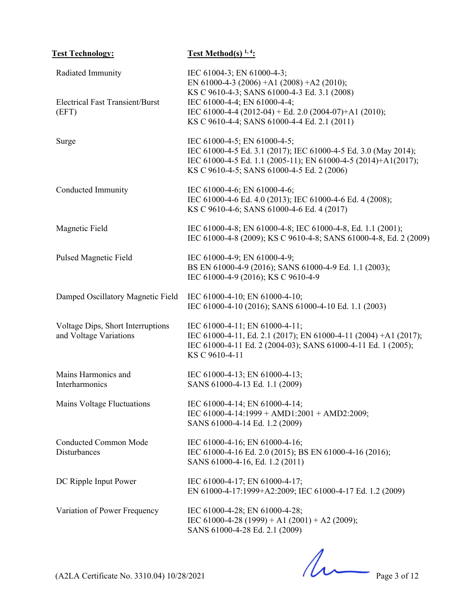| <b>Test Technology:</b>                                     | <b>Test Method(s)</b> $1, 4$ :                                                                                                                                                                                  |
|-------------------------------------------------------------|-----------------------------------------------------------------------------------------------------------------------------------------------------------------------------------------------------------------|
| Radiated Immunity<br><b>Electrical Fast Transient/Burst</b> | IEC 61004-3; EN 61000-4-3;<br>EN 61000-4-3 (2006) +A1 (2008) +A2 (2010);<br>KS C 9610-4-3; SANS 61000-4-3 Ed. 3.1 (2008)<br>IEC 61000-4-4; EN 61000-4-4;                                                        |
| (EFT)                                                       | IEC 61000-4-4 (2012-04) + Ed. 2.0 (2004-07)+A1 (2010);<br>KS C 9610-4-4; SANS 61000-4-4 Ed. 2.1 (2011)                                                                                                          |
| Surge                                                       | IEC 61000-4-5; EN 61000-4-5;<br>IEC 61000-4-5 Ed. 3.1 (2017); IEC 61000-4-5 Ed. 3.0 (May 2014);<br>IEC 61000-4-5 Ed. 1.1 (2005-11); EN 61000-4-5 (2014)+A1(2017);<br>KS C 9610-4-5; SANS 61000-4-5 Ed. 2 (2006) |
| Conducted Immunity                                          | IEC 61000-4-6; EN 61000-4-6;<br>IEC 61000-4-6 Ed. 4.0 (2013); IEC 61000-4-6 Ed. 4 (2008);<br>KS C 9610-4-6; SANS 61000-4-6 Ed. 4 (2017)                                                                         |
| Magnetic Field                                              | IEC 61000-4-8; EN 61000-4-8; IEC 61000-4-8, Ed. 1.1 (2001);<br>IEC 61000-4-8 (2009); KS C 9610-4-8; SANS 61000-4-8, Ed. 2 (2009)                                                                                |
| Pulsed Magnetic Field                                       | IEC 61000-4-9; EN 61000-4-9;<br>BS EN 61000-4-9 (2016); SANS 61000-4-9 Ed. 1.1 (2003);<br>IEC 61000-4-9 (2016); KS C 9610-4-9                                                                                   |
| Damped Oscillatory Magnetic Field                           | IEC 61000-4-10; EN 61000-4-10;<br>IEC 61000-4-10 (2016); SANS 61000-4-10 Ed. 1.1 (2003)                                                                                                                         |
| Voltage Dips, Short Interruptions<br>and Voltage Variations | IEC 61000-4-11; EN 61000-4-11;<br>IEC 61000-4-11, Ed. 2.1 (2017); EN 61000-4-11 (2004) +A1 (2017);<br>IEC 61000-4-11 Ed. 2 (2004-03); SANS 61000-4-11 Ed. 1 (2005);<br>KS C 9610-4-11                           |
| Mains Harmonics and<br>Interharmonics                       | IEC 61000-4-13; EN 61000-4-13;<br>SANS 61000-4-13 Ed. 1.1 (2009)                                                                                                                                                |
| Mains Voltage Fluctuations                                  | IEC 61000-4-14; EN 61000-4-14;<br>IEC 61000-4-14:1999 + AMD1:2001 + AMD2:2009;<br>SANS 61000-4-14 Ed. 1.2 (2009)                                                                                                |
| <b>Conducted Common Mode</b><br>Disturbances                | IEC 61000-4-16; EN 61000-4-16;<br>IEC 61000-4-16 Ed. 2.0 (2015); BS EN 61000-4-16 (2016);<br>SANS 61000-4-16, Ed. 1.2 (2011)                                                                                    |
| DC Ripple Input Power                                       | IEC 61000-4-17; EN 61000-4-17;<br>EN 61000-4-17:1999+A2:2009; IEC 61000-4-17 Ed. 1.2 (2009)                                                                                                                     |
| Variation of Power Frequency                                | IEC 61000-4-28; EN 61000-4-28;<br>IEC 61000-4-28 (1999) + A1 (2001) + A2 (2009);<br>SANS 61000-4-28 Ed. 2.1 (2009)                                                                                              |

 $(A2LA \text{ Certificance No. } 3310.04) 10/28/2021$  Page 3 of 12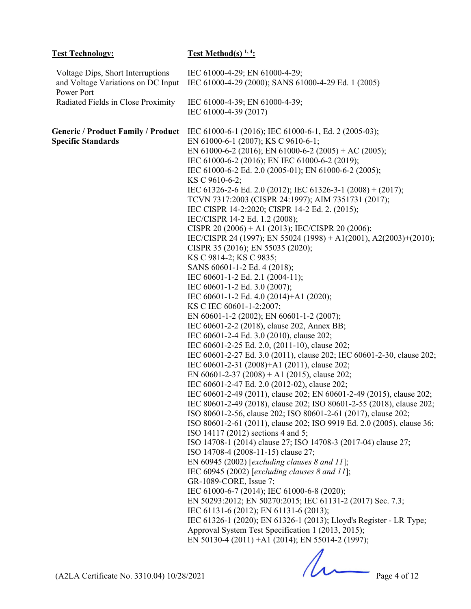| <b>Test Technology:</b>                                                               | <u>Test Method(s)</u> <sup>1, 4</sup> :                                                                                                                                                                                                                                                                                                                                                                                                                                                                                                                                                                                                                                                                                                                                                                                                                                                                                                                                                                                                                                                                                                                                                                                                                                                                                                                                                                                                                                                                                                                                                                                                                                                                                                                                                                                                                                                                                                                                                                                                                                                                                                                                                                              |
|---------------------------------------------------------------------------------------|----------------------------------------------------------------------------------------------------------------------------------------------------------------------------------------------------------------------------------------------------------------------------------------------------------------------------------------------------------------------------------------------------------------------------------------------------------------------------------------------------------------------------------------------------------------------------------------------------------------------------------------------------------------------------------------------------------------------------------------------------------------------------------------------------------------------------------------------------------------------------------------------------------------------------------------------------------------------------------------------------------------------------------------------------------------------------------------------------------------------------------------------------------------------------------------------------------------------------------------------------------------------------------------------------------------------------------------------------------------------------------------------------------------------------------------------------------------------------------------------------------------------------------------------------------------------------------------------------------------------------------------------------------------------------------------------------------------------------------------------------------------------------------------------------------------------------------------------------------------------------------------------------------------------------------------------------------------------------------------------------------------------------------------------------------------------------------------------------------------------------------------------------------------------------------------------------------------------|
| Voltage Dips, Short Interruptions<br>and Voltage Variations on DC Input<br>Power Port | IEC 61000-4-29; EN 61000-4-29;<br>IEC 61000-4-29 (2000); SANS 61000-4-29 Ed. 1 (2005)                                                                                                                                                                                                                                                                                                                                                                                                                                                                                                                                                                                                                                                                                                                                                                                                                                                                                                                                                                                                                                                                                                                                                                                                                                                                                                                                                                                                                                                                                                                                                                                                                                                                                                                                                                                                                                                                                                                                                                                                                                                                                                                                |
| Radiated Fields in Close Proximity                                                    | IEC 61000-4-39; EN 61000-4-39;<br>IEC 61000-4-39 (2017)                                                                                                                                                                                                                                                                                                                                                                                                                                                                                                                                                                                                                                                                                                                                                                                                                                                                                                                                                                                                                                                                                                                                                                                                                                                                                                                                                                                                                                                                                                                                                                                                                                                                                                                                                                                                                                                                                                                                                                                                                                                                                                                                                              |
| <b>Generic / Product Family / Product</b><br><b>Specific Standards</b>                | IEC 61000-6-1 (2016); IEC 61000-6-1, Ed. 2 (2005-03);<br>EN 61000-6-1 (2007); KS C 9610-6-1;<br>EN 61000-6-2 (2016); EN 61000-6-2 (2005) + AC (2005);<br>IEC 61000-6-2 (2016); EN IEC 61000-6-2 (2019);<br>IEC 61000-6-2 Ed. 2.0 (2005-01); EN 61000-6-2 (2005);<br>KS C 9610-6-2;<br>IEC 61326-2-6 Ed. 2.0 (2012); IEC 61326-3-1 (2008) + (2017);<br>TCVN 7317:2003 (CISPR 24:1997); AIM 7351731 (2017);<br>IEC CISPR 14-2:2020; CISPR 14-2 Ed. 2. (2015);<br>IEC/CISPR 14-2 Ed. 1.2 (2008);<br>CISPR 20 (2006) + A1 (2013); IEC/CISPR 20 (2006);<br>IEC/CISPR 24 (1997); EN 55024 (1998) + A1(2001), A2(2003)+(2010);<br>CISPR 35 (2016); EN 55035 (2020);<br>KS C 9814-2; KS C 9835;<br>SANS 60601-1-2 Ed. 4 (2018);<br>IEC 60601-1-2 Ed. 2.1 (2004-11);<br>IEC 60601-1-2 Ed. 3.0 (2007);<br>IEC 60601-1-2 Ed. 4.0 (2014)+A1 (2020);<br>KS C IEC 60601-1-2:2007;<br>EN 60601-1-2 (2002); EN 60601-1-2 (2007);<br>IEC 60601-2-2 (2018), clause 202, Annex BB;<br>IEC 60601-2-4 Ed. 3.0 (2010), clause 202;<br>IEC 60601-2-25 Ed. 2.0, (2011-10), clause 202;<br>IEC 60601-2-27 Ed. 3.0 (2011), clause 202; IEC 60601-2-30, clause 202;<br>IEC 60601-2-31 (2008)+A1 (2011), clause 202;<br>EN 60601-2-37 (2008) + A1 (2015), clause 202;<br>IEC 60601-2-47 Ed. 2.0 (2012-02), clause 202;<br>IEC 60601-2-49 (2011), clause 202; EN 60601-2-49 (2015), clause 202;<br>IEC 80601-2-49 (2018), clause 202; ISO 80601-2-55 (2018), clause 202;<br>ISO 80601-2-56, clause 202; ISO 80601-2-61 (2017), clause 202;<br>ISO 80601-2-61 (2011), clause 202; ISO 9919 Ed. 2.0 (2005), clause 36;<br>ISO 14117 (2012) sections 4 and 5;<br>ISO 14708-1 (2014) clause 27; ISO 14708-3 (2017-04) clause 27;<br>ISO 14708-4 (2008-11-15) clause 27;<br>EN 60945 (2002) [excluding clauses $8$ and $11$ ];<br>IEC 60945 (2002) [excluding clauses $8$ and $11$ ];<br>GR-1089-CORE, Issue 7;<br>IEC 61000-6-7 (2014); IEC 61000-6-8 (2020);<br>EN 50293:2012; EN 50270:2015; IEC 61131-2 (2017) Sec. 7.3;<br>IEC 61131-6 (2012); EN 61131-6 (2013);<br>IEC 61326-1 (2020); EN 61326-1 (2013); Lloyd's Register - LR Type;<br>Approval System Test Specification 1 (2013, 2015);<br>EN 50130-4 (2011) +A1 (2014); EN 55014-2 (1997); |
|                                                                                       |                                                                                                                                                                                                                                                                                                                                                                                                                                                                                                                                                                                                                                                                                                                                                                                                                                                                                                                                                                                                                                                                                                                                                                                                                                                                                                                                                                                                                                                                                                                                                                                                                                                                                                                                                                                                                                                                                                                                                                                                                                                                                                                                                                                                                      |

 $(A2LA \text{ Certificance No. } 3310.04) 10/28/2021$  Page 4 of 12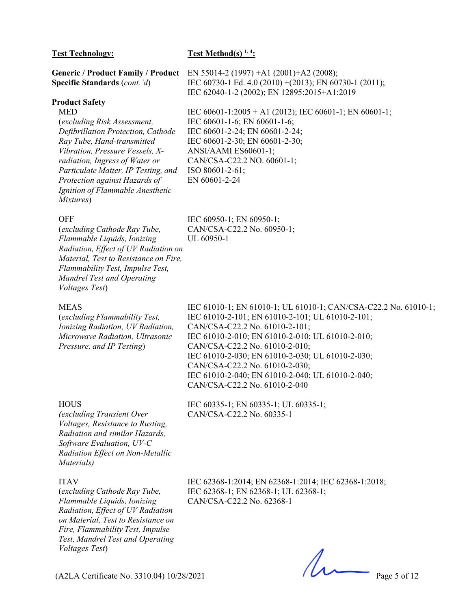| <b>Test Technology:</b>                   | Test Method(s) $1, 4$ :                                 |
|-------------------------------------------|---------------------------------------------------------|
| <b>Generic / Product Family / Product</b> | EN 55014-2 (1997) + A1 (2001) + A2 (2008);              |
| Specific Standards (cont. 'd)             | IEC 60730-1 Ed. 4.0 (2010) + (2013); EN 60730-1 (2011); |
|                                           | IEC 62040-1-2 (2002); EN 12895:2015+A1:2019             |
| <b>Product Safety</b>                     |                                                         |
| <b>MED</b>                                | IEC 60601-1:2005 + A1 (2012); IEC 60601-1; EN 60601-1;  |
| (excluding Risk Assessment,               | IEC 60601-1-6; EN 60601-1-6;                            |
| Defibrillation Protection, Cathode        | IEC 60601-2-24; EN 60601-2-24;                          |
| Ray Tube, Hand-transmitted                | IEC 60601-2-30; EN 60601-2-30;                          |
| Vibration, Pressure Vessels, X-           | ANSI/AAMI ES60601-1;                                    |
| radiation, Ingress of Water or            | CAN/CSA-C22.2 NO. 60601-1;                              |
| Particulate Matter, IP Testing, and       | ISO 80601-2-61;                                         |
| Protection against Hazards of             | EN 60601-2-24                                           |
| Ignition of Flammable Anesthetic          |                                                         |
| Mixtures)                                 |                                                         |
| <b>OFF</b>                                | IEC 60950-1; EN 60950-1;                                |

CAN/CSA-C22.2 No. 60950-1;

UL 60950-1

#### OFF

(*excluding Cathode Ray Tube, Flammable Liquids, Ionizing Radiation, Effect of UV Radiation on Material, Test to Resistance on Fire, Flammability Test, Impulse Test, Mandrel Test and Operating Voltages Test*)

#### MEAS

(*excluding Flammability Test, Ionizing Radiation, UV Radiation, Microwave Radiation, Ultrasonic Pressure, and IP Testing*)

IEC 61010-1; EN 61010-1; UL 61010-1; CAN/CSA-C22.2 No. 61010-1; IEC 61010-2-101; EN 61010-2-101; UL 61010-2-101; CAN/CSA-C22.2 No. 61010-2-101; IEC 61010-2-010; EN 61010-2-010; UL 61010-2-010; CAN/CSA-C22.2 No. 61010-2-010; IEC 61010-2-030; EN 61010-2-030; UL 61010-2-030; CAN/CSA-C22.2 No. 61010-2-030; IEC 61010-2-040; EN 61010-2-040; UL 61010-2-040; CAN/CSA-C22.2 No. 61010-2-040

#### **HOUS**

*(excluding Transient Over Voltages, Resistance to Rusting, Radiation and similar Hazards, Software Evaluation, UV-C Radiation Effect on Non-Metallic Materials)* 

#### ITAV

(*excluding Cathode Ray Tube, Flammable Liquids, Ionizing Radiation, Effect of UV Radiation on Material, Test to Resistance on Fire, Flammability Test, Impulse Test, Mandrel Test and Operating Voltages Test*)

IEC 62368-1:2014; EN 62368-1:2014; IEC 62368-1:2018; IEC 62368-1; EN 62368-1; UL 62368-1; CAN/CSA-C22.2 No. 62368-1

IEC 60335-1; EN 60335-1; UL 60335-1;

CAN/CSA-C22.2 No. 60335-1

(A2LA Certificate No. 3310.04) 10/28/2021 Page 5 of 12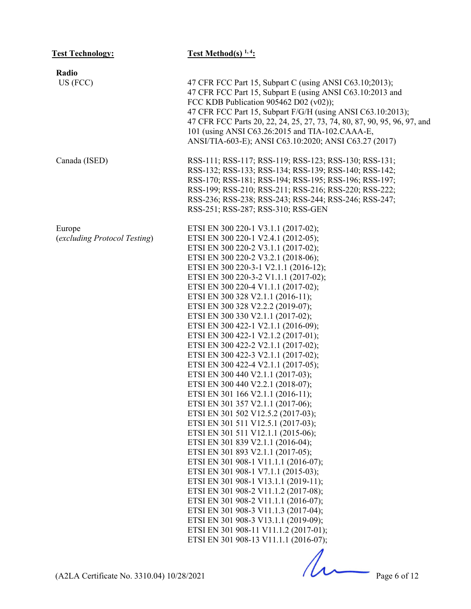| <b>Test Technology:</b>                | <b>Test Method(s)</b> $1, 4$ :                                                                                                                                                                                                                                                                                                                                                                                                                                                                                                                                                                                                                                                                                                                                                                                                                                                                                                                                                                                                                                                                                                                                                                                                                                                                                               |
|----------------------------------------|------------------------------------------------------------------------------------------------------------------------------------------------------------------------------------------------------------------------------------------------------------------------------------------------------------------------------------------------------------------------------------------------------------------------------------------------------------------------------------------------------------------------------------------------------------------------------------------------------------------------------------------------------------------------------------------------------------------------------------------------------------------------------------------------------------------------------------------------------------------------------------------------------------------------------------------------------------------------------------------------------------------------------------------------------------------------------------------------------------------------------------------------------------------------------------------------------------------------------------------------------------------------------------------------------------------------------|
| Radio                                  |                                                                                                                                                                                                                                                                                                                                                                                                                                                                                                                                                                                                                                                                                                                                                                                                                                                                                                                                                                                                                                                                                                                                                                                                                                                                                                                              |
| US (FCC)                               | 47 CFR FCC Part 15, Subpart C (using ANSI C63.10;2013);<br>47 CFR FCC Part 15, Subpart E (using ANSI C63.10:2013 and<br>FCC KDB Publication 905462 D02 (v02));<br>47 CFR FCC Part 15, Subpart F/G/H (using ANSI C63.10:2013);<br>47 CFR FCC Parts 20, 22, 24, 25, 27, 73, 74, 80, 87, 90, 95, 96, 97, and<br>101 (using ANSI C63.26:2015 and TIA-102.CAAA-E,<br>ANSI/TIA-603-E); ANSI C63.10:2020; ANSI C63.27 (2017)                                                                                                                                                                                                                                                                                                                                                                                                                                                                                                                                                                                                                                                                                                                                                                                                                                                                                                        |
| Canada (ISED)                          | RSS-111; RSS-117; RSS-119; RSS-123; RSS-130; RSS-131;<br>RSS-132; RSS-133; RSS-134; RSS-139; RSS-140; RSS-142;<br>RSS-170; RSS-181; RSS-194; RSS-195; RSS-196; RSS-197;<br>RSS-199; RSS-210; RSS-211; RSS-216; RSS-220; RSS-222;<br>RSS-236; RSS-238; RSS-243; RSS-244; RSS-246; RSS-247;<br>RSS-251; RSS-287; RSS-310; RSS-GEN                                                                                                                                                                                                                                                                                                                                                                                                                                                                                                                                                                                                                                                                                                                                                                                                                                                                                                                                                                                              |
| Europe<br>(excluding Protocol Testing) | ETSI EN 300 220-1 V3.1.1 (2017-02);<br>ETSI EN 300 220-1 V2.4.1 (2012-05);<br>ETSI EN 300 220-2 V3.1.1 (2017-02);<br>ETSI EN 300 220-2 V3.2.1 (2018-06);<br>ETSI EN 300 220-3-1 V2.1.1 (2016-12);<br>ETSI EN 300 220-3-2 V1.1.1 (2017-02);<br>ETSI EN 300 220-4 V1.1.1 (2017-02);<br>ETSI EN 300 328 V2.1.1 (2016-11);<br>ETSI EN 300 328 V2.2.2 (2019-07);<br>ETSI EN 300 330 V2.1.1 (2017-02);<br>ETSI EN 300 422-1 V2.1.1 (2016-09);<br>ETSI EN 300 422-1 V2.1.2 (2017-01);<br>ETSI EN 300 422-2 V2.1.1 (2017-02);<br>ETSI EN 300 422-3 V2.1.1 (2017-02);<br>ETSI EN 300 422-4 V2.1.1 (2017-05);<br>ETSI EN 300 440 V2.1.1 (2017-03);<br>ETSI EN 300 440 V2.2.1 (2018-07);<br>ETSI EN 301 166 V2.1.1 (2016-11);<br>ETSI EN 301 357 V2.1.1 (2017-06);<br>ETSI EN 301 502 V12.5.2 (2017-03);<br>ETSI EN 301 511 V12.5.1 (2017-03);<br>ETSI EN 301 511 V12.1.1 (2015-06);<br>ETSI EN 301 839 V2.1.1 (2016-04);<br>ETSI EN 301 893 V2.1.1 (2017-05);<br>ETSI EN 301 908-1 V11.1.1 (2016-07);<br>ETSI EN 301 908-1 V7.1.1 (2015-03);<br>ETSI EN 301 908-1 V13.1.1 (2019-11);<br>ETSI EN 301 908-2 V11.1.2 (2017-08);<br>ETSI EN 301 908-2 V11.1.1 (2016-07);<br>ETSI EN 301 908-3 V11.1.3 (2017-04);<br>ETSI EN 301 908-3 V13.1.1 (2019-09);<br>ETSI EN 301 908-11 V11.1.2 (2017-01);<br>ETSI EN 301 908-13 V11.1.1 (2016-07); |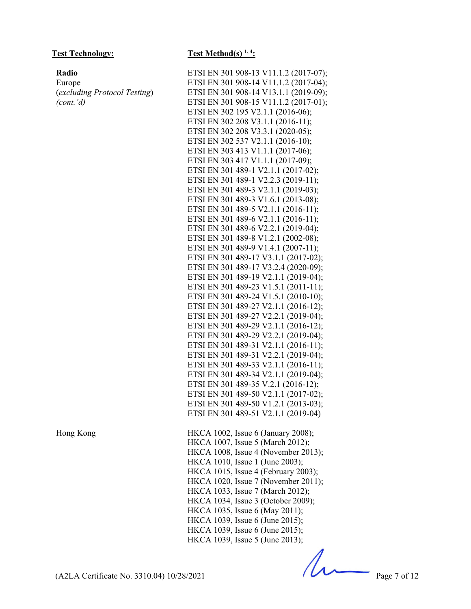#### **Radio**

Europe (*excluding Protocol Testing*) *(cont.'d)* 

#### Test Technology: Test Method(s) <sup>1, 4</sup>:

ETSI EN 301 908-13 V11.1.2 (2017-07); ETSI EN 301 908-14 V11.1.2 (2017-04); ETSI EN 301 908-14 V13.1.1 (2019-09); ETSI EN 301 908-15 V11.1.2 (2017-01); ETSI EN 302 195 V2.1.1 (2016-06); ETSI EN 302 208 V3.1.1 (2016-11); ETSI EN 302 208 V3.3.1 (2020-05); ETSI EN 302 537 V2.1.1 (2016-10); ETSI EN 303 413 V1.1.1 (2017-06); ETSI EN 303 417 V1.1.1 (2017-09); ETSI EN 301 489-1 V2.1.1 (2017-02); ETSI EN 301 489-1 V2.2.3 (2019-11); ETSI EN 301 489-3 V2.1.1 (2019-03); ETSI EN 301 489-3 V1.6.1 (2013-08); ETSI EN 301 489-5 V2.1.1 (2016-11); ETSI EN 301 489-6 V2.1.1 (2016-11); ETSI EN 301 489-6 V2.2.1 (2019-04); ETSI EN 301 489-8 V1.2.1 (2002-08); ETSI EN 301 489-9 V1.4.1 (2007-11); ETSI EN 301 489-17 V3.1.1 (2017-02); ETSI EN 301 489-17 V3.2.4 (2020-09); ETSI EN 301 489-19 V2.1.1 (2019-04); ETSI EN 301 489-23 V1.5.1 (2011-11); ETSI EN 301 489-24 V1.5.1 (2010-10); ETSI EN 301 489-27 V2.1.1 (2016-12); ETSI EN 301 489-27 V2.2.1 (2019-04); ETSI EN 301 489-29 V2.1.1 (2016-12); ETSI EN 301 489-29 V2.2.1 (2019-04); ETSI EN 301 489-31 V2.1.1 (2016-11); ETSI EN 301 489-31 V2.2.1 (2019-04); ETSI EN 301 489-33 V2.1.1 (2016-11); ETSI EN 301 489-34 V2.1.1 (2019-04); ETSI EN 301 489-35 V.2.1 (2016-12); ETSI EN 301 489-50 V2.1.1 (2017-02); ETSI EN 301 489-50 V1.2.1 (2013-03); ETSI EN 301 489-51 V2.1.1 (2019-04) Hong Kong HKCA 1002, Issue 6 (January 2008); HKCA 1007, Issue 5 (March 2012); HKCA 1008, Issue 4 (November 2013); HKCA 1010, Issue 1 (June 2003); HKCA 1015, Issue 4 (February 2003); HKCA 1020, Issue 7 (November 2011); HKCA 1033, Issue 7 (March 2012); HKCA 1034, Issue 3 (October 2009); HKCA 1035, Issue 6 (May 2011); HKCA 1039, Issue 6 (June 2015); HKCA 1039, Issue 6 (June 2015); HKCA 1039, Issue 5 (June 2013);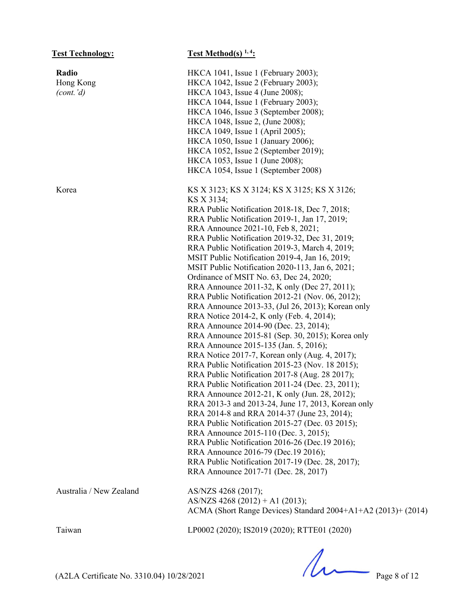| <b>Test Technology:</b> | Test Method(s) $1, 4$ :                                       |
|-------------------------|---------------------------------------------------------------|
| Radio                   | HKCA 1041, Issue 1 (February 2003);                           |
| Hong Kong               | HKCA 1042, Issue 2 (February 2003);                           |
| (cont.'d)               | HKCA 1043, Issue 4 (June 2008);                               |
|                         | HKCA 1044, Issue 1 (February 2003);                           |
|                         | HKCA 1046, Issue 3 (September 2008);                          |
|                         | HKCA 1048, Issue 2, (June 2008);                              |
|                         | HKCA 1049, Issue 1 (April 2005);                              |
|                         | HKCA 1050, Issue 1 (January 2006);                            |
|                         | HKCA 1052, Issue 2 (September 2019);                          |
|                         | HKCA 1053, Issue 1 (June 2008);                               |
|                         | HKCA 1054, Issue 1 (September 2008)                           |
| Korea                   | KS X 3123; KS X 3124; KS X 3125; KS X 3126;                   |
|                         | KS X 3134;                                                    |
|                         | RRA Public Notification 2018-18, Dec 7, 2018;                 |
|                         | RRA Public Notification 2019-1, Jan 17, 2019;                 |
|                         | RRA Announce 2021-10, Feb 8, 2021;                            |
|                         | RRA Public Notification 2019-32, Dec 31, 2019;                |
|                         | RRA Public Notification 2019-3, March 4, 2019;                |
|                         | MSIT Public Notification 2019-4, Jan 16, 2019;                |
|                         | MSIT Public Notification 2020-113, Jan 6, 2021;               |
|                         | Ordinance of MSIT No. 63, Dec 24, 2020;                       |
|                         | RRA Announce 2011-32, K only (Dec 27, 2011);                  |
|                         | RRA Public Notification 2012-21 (Nov. 06, 2012);              |
|                         | RRA Announce 2013-33, (Jul 26, 2013); Korean only             |
|                         | RRA Notice 2014-2, K only (Feb. 4, 2014);                     |
|                         | RRA Announce 2014-90 (Dec. 23, 2014);                         |
|                         | RRA Announce 2015-81 (Sep. 30, 2015); Korea only              |
|                         | RRA Announce 2015-135 (Jan. 5, 2016);                         |
|                         | RRA Notice 2017-7, Korean only (Aug. 4, 2017);                |
|                         | RRA Public Notification 2015-23 (Nov. 18 2015);               |
|                         | RRA Public Notification 2017-8 (Aug. 28 2017);                |
|                         | RRA Public Notification 2011-24 (Dec. 23, 2011);              |
|                         | RRA Announce 2012-21, K only (Jun. 28, 2012);                 |
|                         | RRA 2013-3 and 2013-24, June 17, 2013, Korean only            |
|                         | RRA 2014-8 and RRA 2014-37 (June 23, 2014);                   |
|                         | RRA Public Notification 2015-27 (Dec. 03 2015);               |
|                         | RRA Announce 2015-110 (Dec. 3, 2015);                         |
|                         | RRA Public Notification 2016-26 (Dec.19 2016);                |
|                         | RRA Announce 2016-79 (Dec.19 2016);                           |
|                         | RRA Public Notification 2017-19 (Dec. 28, 2017);              |
|                         | RRA Announce 2017-71 (Dec. 28, 2017)                          |
| Australia / New Zealand | AS/NZS 4268 (2017);                                           |
|                         | AS/NZS 4268 (2012) + A1 (2013);                               |
|                         | ACMA (Short Range Devices) Standard 2004+A1+A2 (2013)+ (2014) |
| Taiwan                  | LP0002 (2020); IS2019 (2020); RTTE01 (2020)                   |

 $(A2LA \text{ Certificance No. } 3310.04) 10/28/2021$  Page 8 of 12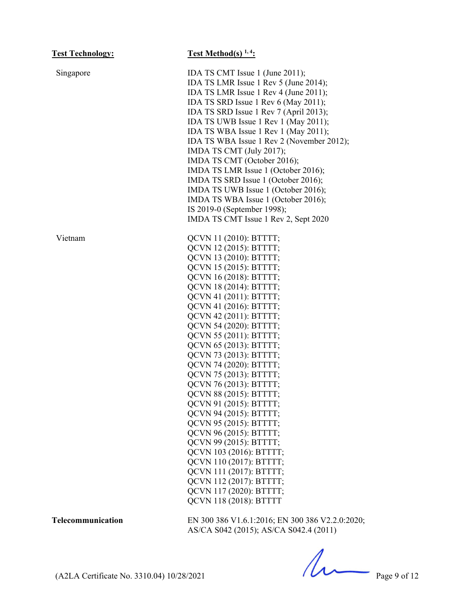| <b>Test Technology:</b> | <b>Test Method(s)</b> $1, 4$ :                                                                                                                                                                                                                                                                                                                                                                                                                                                                                                                                                                                                                                                                       |
|-------------------------|------------------------------------------------------------------------------------------------------------------------------------------------------------------------------------------------------------------------------------------------------------------------------------------------------------------------------------------------------------------------------------------------------------------------------------------------------------------------------------------------------------------------------------------------------------------------------------------------------------------------------------------------------------------------------------------------------|
| Singapore               | IDA TS CMT Issue 1 (June 2011);<br>IDA TS LMR Issue 1 Rev 5 (June 2014);<br>IDA TS LMR Issue 1 Rev 4 (June 2011);<br>IDA TS SRD Issue 1 Rev 6 (May 2011);<br>IDA TS SRD Issue 1 Rev 7 (April 2013);<br>IDA TS UWB Issue 1 Rev 1 (May 2011);<br>IDA TS WBA Issue 1 Rev 1 (May 2011);<br>IDA TS WBA Issue 1 Rev 2 (November 2012);<br>IMDA TS CMT (July 2017);<br>IMDA TS CMT (October 2016);<br>IMDA TS LMR Issue 1 (October 2016);<br>IMDA TS SRD Issue 1 (October 2016);<br>IMDA TS UWB Issue 1 (October 2016);<br>IMDA TS WBA Issue 1 (October 2016);<br>IS 2019-0 (September 1998);<br>IMDA TS CMT Issue 1 Rev 2, Sept 2020                                                                       |
| Vietnam                 | QCVN 11 (2010): BTTTT;<br>QCVN 12 (2015): BTTTT;<br>QCVN 13 (2010): BTTTT;<br>QCVN 15 (2015): BTTTT;<br>QCVN 16 (2018): BTTTT;<br>QCVN 18 (2014): BTTTT;<br>QCVN 41 (2011): BTTTT;<br>QCVN 41 (2016): BTTTT;<br>QCVN 42 (2011): BTTTT;<br>QCVN 54 (2020): BTTTT;<br>QCVN 55 (2011): BTTTT;<br>QCVN 65 (2013): BTTTT;<br>QCVN 73 (2013): BTTTT;<br>QCVN 74 (2020): BTTTT;<br>QCVN 75 (2013): BTTTT;<br>QCVN 76 (2013): BTTTT;<br>QCVN 88 (2015): BTTTT;<br>QCVN 91 (2015): BTTTT;<br>QCVN 94 (2015): BTTTT;<br>QCVN 95 (2015): BTTTT;<br>QCVN 96 (2015): BTTTT;<br>QCVN 99 (2015): BTTTT;<br>QCVN 103 (2016): BTTTT;<br>QCVN 110 (2017): BTTTT;<br>QCVN 111 (2017): BTTTT;<br>QCVN 112 (2017): BTTTT; |
|                         | QCVN 117 (2020): BTTTT;<br>QCVN 118 (2018): BTTTT                                                                                                                                                                                                                                                                                                                                                                                                                                                                                                                                                                                                                                                    |

**Telecommunication** EN 300 386 V1.6.1:2016; EN 300 386 V2.2.0:2020; AS/CA S042 (2015); AS/CA S042.4 (2011)

(A2LA Certificate No. 3310.04) 10/28/2021 Page 9 of 12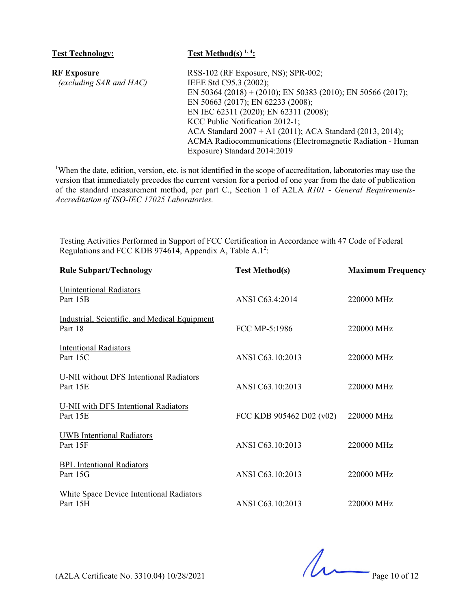| <b>Test Technology:</b> | Test Method(s) $1, 4$ :                                     |
|-------------------------|-------------------------------------------------------------|
| <b>RF Exposure</b>      | RSS-102 (RF Exposure, NS); SPR-002;                         |
| (excluding SAR and HAC) | IEEE Std C95.3 (2002);                                      |
|                         | EN 50364 (2018) + (2010); EN 50383 (2010); EN 50566 (2017); |
|                         | EN 50663 (2017); EN 62233 (2008);                           |
|                         | EN IEC 62311 (2020); EN 62311 (2008);                       |
|                         | KCC Public Notification 2012-1;                             |
|                         | ACA Standard $2007 + A1$ (2011); ACA Standard (2013, 2014); |
|                         | ACMA Radiocommunications (Electromagnetic Radiation - Human |
|                         | Exposure) Standard 2014:2019                                |

<sup>1</sup>When the date, edition, version, etc. is not identified in the scope of accreditation, laboratories may use the version that immediately precedes the current version for a period of one year from the date of publication of the standard measurement method, per part C., Section 1 of A2LA *R101 - General Requirements-Accreditation of ISO-IEC 17025 Laboratories.*

Testing Activities Performed in Support of FCC Certification in Accordance with 47 Code of Federal Regulations and FCC KDB 974614, Appendix A, Table A.1<sup>2</sup>:

| <b>Rule Subpart/Technology</b>                              | <b>Test Method(s)</b>    | <b>Maximum Frequency</b> |
|-------------------------------------------------------------|--------------------------|--------------------------|
| <b>Unintentional Radiators</b><br>Part 15B                  | ANSI C63.4:2014          | 220000 MHz               |
| Industrial, Scientific, and Medical Equipment<br>Part 18    | FCC MP-5:1986            | 220000 MHz               |
| <b>Intentional Radiators</b><br>Part 15C                    | ANSI C63.10:2013         | 220000 MHz               |
| U-NII without DFS Intentional Radiators<br>Part 15E         | ANSI C63.10:2013         | 220000 MHz               |
| U-NII with DFS Intentional Radiators<br>Part 15E            | FCC KDB 905462 D02 (v02) | 220000 MHz               |
| <b>UWB</b> Intentional Radiators<br>Part 15F                | ANSI C63.10:2013         | 220000 MHz               |
| <b>BPL</b> Intentional Radiators<br>Part 15G                | ANSI C63.10:2013         | 220000 MHz               |
| <b>White Space Device Intentional Radiators</b><br>Part 15H | ANSI C63.10:2013         | 220000 MHz               |

 $(22LA \text{ Certificance No. } 3310.04) 10/28/2021$  Page 10 of 12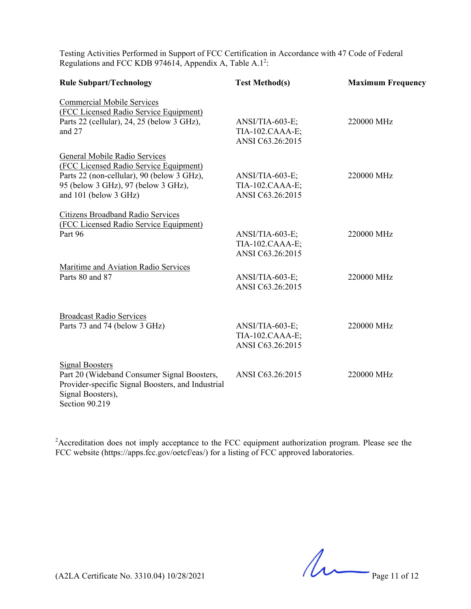Testing Activities Performed in Support of FCC Certification in Accordance with 47 Code of Federal Regulations and FCC KDB 974614, Appendix A, Table A.1<sup>2</sup>:

| <b>Rule Subpart/Technology</b>                                                                                                                                                        | <b>Test Method(s)</b>                                  | <b>Maximum Frequency</b> |
|---------------------------------------------------------------------------------------------------------------------------------------------------------------------------------------|--------------------------------------------------------|--------------------------|
| <b>Commercial Mobile Services</b><br>(FCC Licensed Radio Service Equipment)<br>Parts 22 (cellular), 24, 25 (below 3 GHz),<br>and 27                                                   | ANSI/TIA-603-E;<br>TIA-102.CAAA-E;<br>ANSI C63.26:2015 | 220000 MHz               |
| General Mobile Radio Services<br>(FCC Licensed Radio Service Equipment)<br>Parts 22 (non-cellular), 90 (below 3 GHz),<br>95 (below 3 GHz), 97 (below 3 GHz),<br>and 101 (below 3 GHz) | ANSI/TIA-603-E;<br>TIA-102.CAAA-E;<br>ANSI C63.26:2015 | 220000 MHz               |
| <b>Citizens Broadband Radio Services</b><br>(FCC Licensed Radio Service Equipment)<br>Part 96                                                                                         | ANSI/TIA-603-E;<br>TIA-102.CAAA-E;<br>ANSI C63.26:2015 | 220000 MHz               |
| Maritime and Aviation Radio Services<br>Parts 80 and 87                                                                                                                               | ANSI/TIA-603-E;<br>ANSI C63.26:2015                    | 220000 MHz               |
| <b>Broadcast Radio Services</b><br>Parts 73 and 74 (below 3 GHz)                                                                                                                      | ANSI/TIA-603-E;<br>TIA-102.CAAA-E;<br>ANSI C63.26:2015 | 220000 MHz               |
| <b>Signal Boosters</b><br>Part 20 (Wideband Consumer Signal Boosters,<br>Provider-specific Signal Boosters, and Industrial<br>Signal Boosters),<br>Section 90.219                     | ANSI C63.26:2015                                       | 220000 MHz               |

<sup>2</sup> Accreditation does not imply acceptance to the FCC equipment authorization program. Please see the FCC website (https://apps.fcc.gov/oetcf/eas/) for a listing of FCC approved laboratories.

 $(A2LA \text{ Certificance No. } 3310.04) 10/28/2021$  Page 11 of 12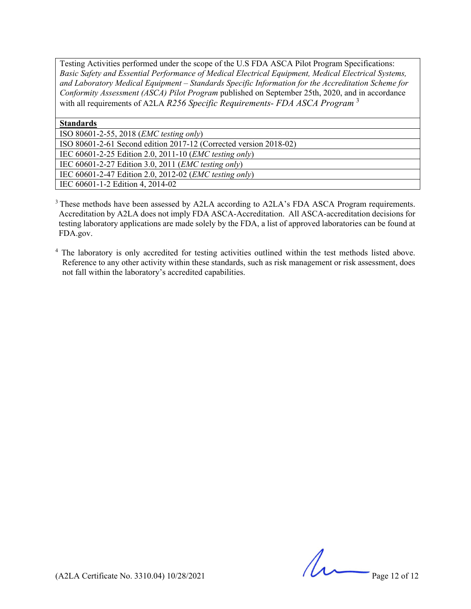Testing Activities performed under the scope of the U.S FDA ASCA Pilot Program Specifications: *Basic Safety and Essential Performance of Medical Electrical Equipment, Medical Electrical Systems, and Laboratory Medical Equipment – Standards Specific Information for the Accreditation Scheme for Conformity Assessment (ASCA) Pilot Program* published on September 25th, 2020, and in accordance with all requirements of A2LA *R256 Specific Requirements- FDA ASCA Program* <sup>3</sup>

#### **Standards**

ISO 80601-2-55, 2018 (*EMC testing only*)

ISO 80601-2-61 Second edition 2017-12 (Corrected version 2018-02)

IEC 60601-2-25 Edition 2.0, 2011-10 (*EMC testing only*)

IEC 60601-2-27 Edition 3.0, 2011 (*EMC testing only*)

IEC 60601-2-47 Edition 2.0, 2012-02 (*EMC testing only*)

IEC 60601-1-2 Edition 4, 2014-02

<sup>3</sup> These methods have been assessed by A2LA according to A2LA's FDA ASCA Program requirements. Accreditation by A2LA does not imply FDA ASCA-Accreditation. All ASCA-accreditation decisions for testing laboratory applications are made solely by the FDA, a list of approved laboratories can be found at FDA.gov.

<sup>4</sup> The laboratory is only accredited for testing activities outlined within the test methods listed above. Reference to any other activity within these standards, such as risk management or risk assessment, does not fall within the laboratory's accredited capabilities.